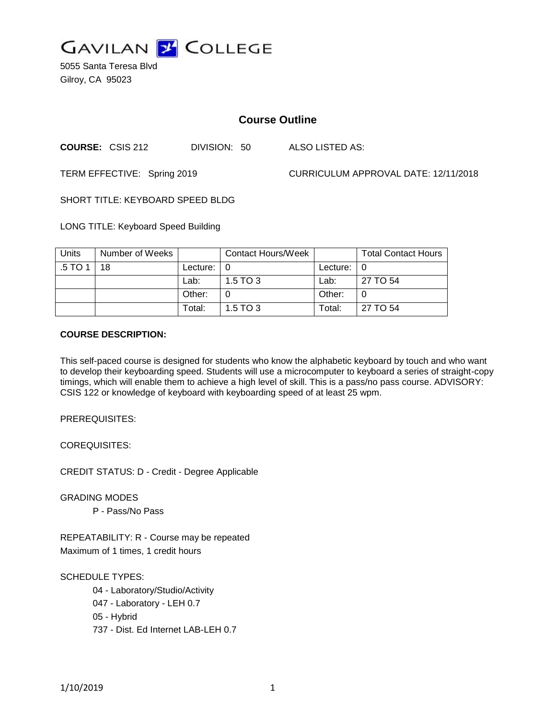

5055 Santa Teresa Blvd Gilroy, CA 95023

# **Course Outline**

**COURSE:** CSIS 212 DIVISION: 50 ALSO LISTED AS:

TERM EFFECTIVE: Spring 2019 CURRICULUM APPROVAL DATE: 12/11/2018

SHORT TITLE: KEYBOARD SPEED BLDG

LONG TITLE: Keyboard Speed Building

| Units   | Number of Weeks |                            | <b>Contact Hours/Week</b> |               | <b>Total Contact Hours</b> |
|---------|-----------------|----------------------------|---------------------------|---------------|----------------------------|
| .5 TO 1 | 18              | Lecture: $\vert 0 \rangle$ |                           | Lecture: $ 0$ |                            |
|         |                 | Lab:                       | $1.5$ TO 3                | Lab:          | 27 TO 54                   |
|         |                 | Other:                     |                           | Other:        |                            |
|         |                 | Total:                     | $1.5$ TO 3                | Total:        | 27 TO 54                   |

#### **COURSE DESCRIPTION:**

This self-paced course is designed for students who know the alphabetic keyboard by touch and who want to develop their keyboarding speed. Students will use a microcomputer to keyboard a series of straight-copy timings, which will enable them to achieve a high level of skill. This is a pass/no pass course. ADVISORY: CSIS 122 or knowledge of keyboard with keyboarding speed of at least 25 wpm.

PREREQUISITES:

COREQUISITES:

CREDIT STATUS: D - Credit - Degree Applicable

GRADING MODES

P - Pass/No Pass

REPEATABILITY: R - Course may be repeated Maximum of 1 times, 1 credit hours

SCHEDULE TYPES:

04 - Laboratory/Studio/Activity 047 - Laboratory - LEH 0.7 05 - Hybrid 737 - Dist. Ed Internet LAB-LEH 0.7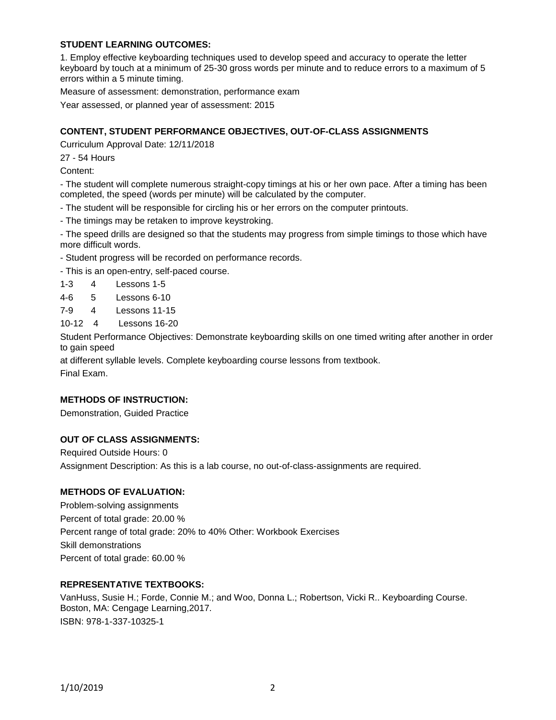# **STUDENT LEARNING OUTCOMES:**

1. Employ effective keyboarding techniques used to develop speed and accuracy to operate the letter keyboard by touch at a minimum of 25-30 gross words per minute and to reduce errors to a maximum of 5 errors within a 5 minute timing.

Measure of assessment: demonstration, performance exam

Year assessed, or planned year of assessment: 2015

## **CONTENT, STUDENT PERFORMANCE OBJECTIVES, OUT-OF-CLASS ASSIGNMENTS**

Curriculum Approval Date: 12/11/2018

27 - 54 Hours

Content:

- The student will complete numerous straight-copy timings at his or her own pace. After a timing has been completed, the speed (words per minute) will be calculated by the computer.

- The student will be responsible for circling his or her errors on the computer printouts.

- The timings may be retaken to improve keystroking.

- The speed drills are designed so that the students may progress from simple timings to those which have more difficult words.

- Student progress will be recorded on performance records.

- This is an open-entry, self-paced course.

1-3 4 Lessons 1-5

- 4-6 5 Lessons 6-10
- 7-9 4 Lessons 11-15
- 10-12 4 Lessons 16-20

Student Performance Objectives: Demonstrate keyboarding skills on one timed writing after another in order to gain speed

at different syllable levels. Complete keyboarding course lessons from textbook. Final Exam.

## **METHODS OF INSTRUCTION:**

Demonstration, Guided Practice

## **OUT OF CLASS ASSIGNMENTS:**

Required Outside Hours: 0 Assignment Description: As this is a lab course, no out-of-class-assignments are required.

## **METHODS OF EVALUATION:**

Problem-solving assignments Percent of total grade: 20.00 % Percent range of total grade: 20% to 40% Other: Workbook Exercises Skill demonstrations Percent of total grade: 60.00 %

# **REPRESENTATIVE TEXTBOOKS:**

VanHuss, Susie H.; Forde, Connie M.; and Woo, Donna L.; Robertson, Vicki R.. Keyboarding Course. Boston, MA: Cengage Learning,2017. ISBN: 978-1-337-10325-1